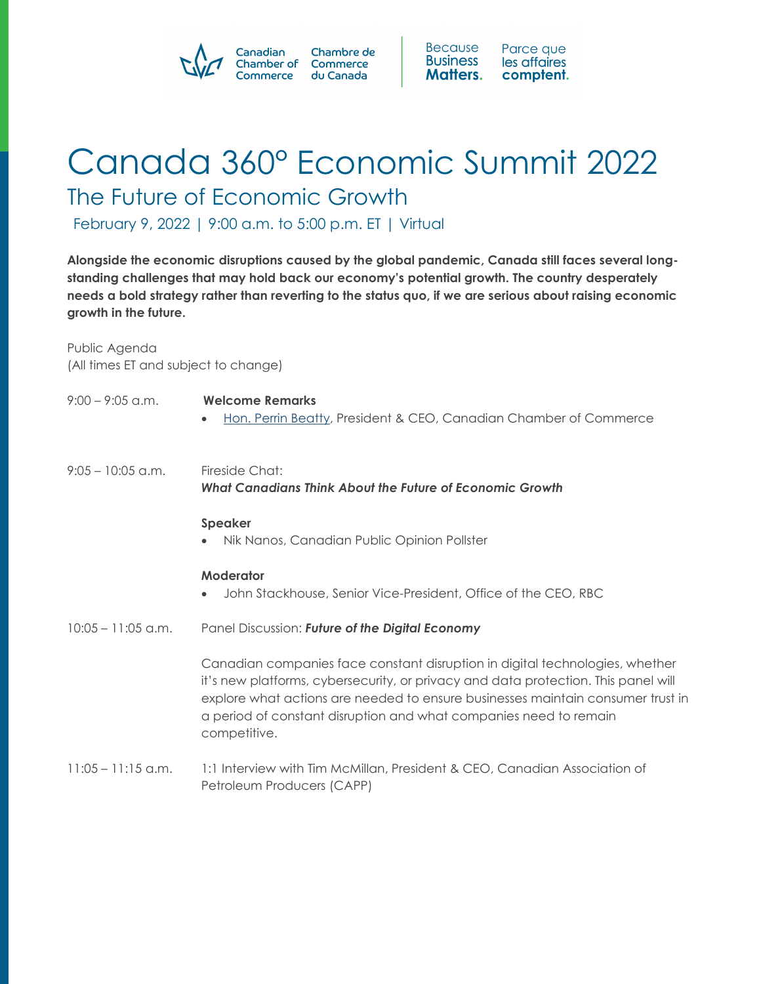



## Canada 360° Economic Summit 2022 The Future of Economic Growth

February 9, 2022 | 9:00 a.m. to 5:00 p.m. ET | Virtual

**Alongside the economic disruptions caused by the global pandemic, Canada still faces several longstanding challenges that may hold back our economy's potential growth. The country desperately needs a bold strategy rather than reverting to the status quo, if we are serious about raising economic growth in the future.**

Public Agenda (All times ET and subject to change)

| $9:00 - 9:05$ a.m.   | <b>Welcome Remarks</b><br>Hon. Perrin Beatty, President & CEO, Canadian Chamber of Commerce<br>$\bullet$                                                                                                                                                                                                                                   |
|----------------------|--------------------------------------------------------------------------------------------------------------------------------------------------------------------------------------------------------------------------------------------------------------------------------------------------------------------------------------------|
| $9:05 - 10:05$ a.m.  | Fireside Chat:<br>What Canadians Think About the Future of Economic Growth                                                                                                                                                                                                                                                                 |
|                      | <b>Speaker</b><br>Nik Nanos, Canadian Public Opinion Pollster                                                                                                                                                                                                                                                                              |
|                      | Moderator<br>John Stackhouse, Senior Vice-President, Office of the CEO, RBC                                                                                                                                                                                                                                                                |
| $10:05 - 11:05$ a.m. | Panel Discussion: Future of the Digital Economy                                                                                                                                                                                                                                                                                            |
|                      | Canadian companies face constant disruption in digital technologies, whether<br>it's new platforms, cybersecurity, or privacy and data protection. This panel will<br>explore what actions are needed to ensure businesses maintain consumer trust in<br>a period of constant disruption and what companies need to remain<br>competitive. |
| $11:05 - 11:15$ a.m. | 1:1 Interview with Tim McMillan, President & CEO, Canadian Association of<br>Petroleum Producers (CAPP)                                                                                                                                                                                                                                    |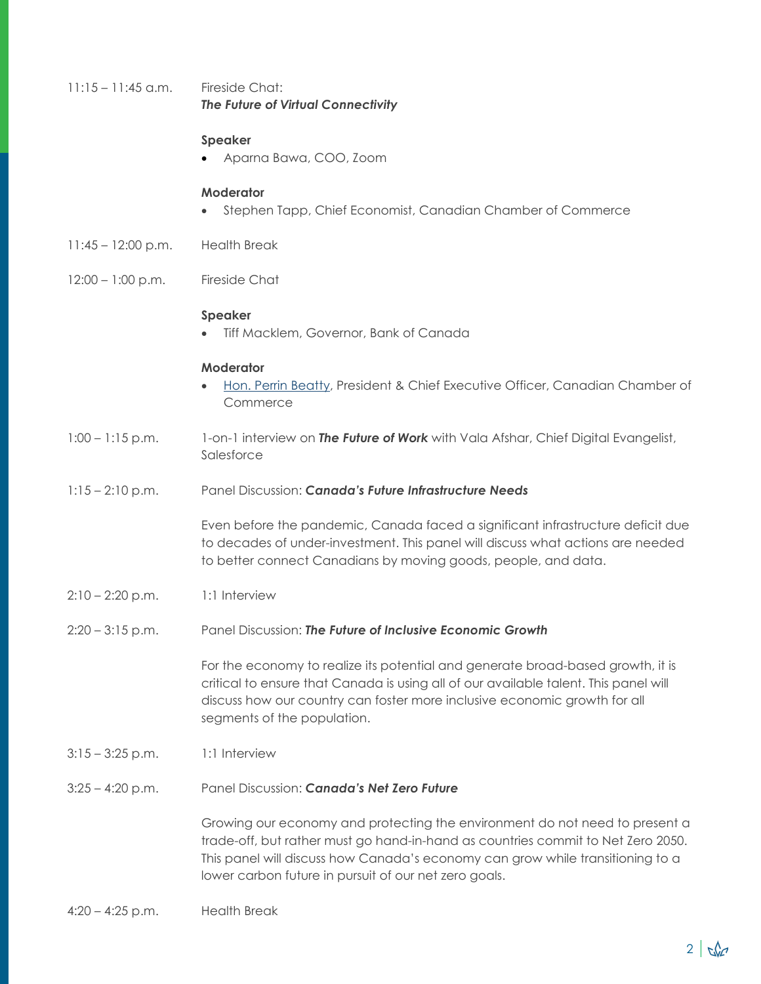| $11:15 - 11:45$ a.m. | Fireside Chat:<br>The Future of Virtual Connectivity                                                                                                                                                                                                                                                       |
|----------------------|------------------------------------------------------------------------------------------------------------------------------------------------------------------------------------------------------------------------------------------------------------------------------------------------------------|
|                      | <b>Speaker</b><br>Aparna Bawa, COO, Zoom                                                                                                                                                                                                                                                                   |
|                      | <b>Moderator</b><br>Stephen Tapp, Chief Economist, Canadian Chamber of Commerce                                                                                                                                                                                                                            |
| $11:45 - 12:00$ p.m. | <b>Health Break</b>                                                                                                                                                                                                                                                                                        |
| $12:00 - 1:00$ p.m.  | <b>Fireside Chat</b>                                                                                                                                                                                                                                                                                       |
|                      | <b>Speaker</b><br>Tiff Macklem, Governor, Bank of Canada                                                                                                                                                                                                                                                   |
|                      | <b>Moderator</b><br>Hon. Perrin Beatty, President & Chief Executive Officer, Canadian Chamber of<br>Commerce                                                                                                                                                                                               |
| $1:00 - 1:15$ p.m.   | 1-on-1 interview on The Future of Work with Vala Afshar, Chief Digital Evangelist,<br>Salesforce                                                                                                                                                                                                           |
| $1:15 - 2:10$ p.m.   | Panel Discussion: Canada's Future Infrastructure Needs                                                                                                                                                                                                                                                     |
|                      | Even before the pandemic, Canada faced a significant infrastructure deficit due<br>to decades of under-investment. This panel will discuss what actions are needed<br>to better connect Canadians by moving goods, people, and data.                                                                       |
| $2:10 - 2:20$ p.m.   | 1:1 Interview                                                                                                                                                                                                                                                                                              |
| $2:20 - 3:15$ p.m.   | Panel Discussion: The Future of Inclusive Economic Growth                                                                                                                                                                                                                                                  |
|                      | For the economy to realize its potential and generate broad-based growth, it is<br>critical to ensure that Canada is using all of our available talent. This panel will<br>discuss how our country can foster more inclusive economic growth for all<br>segments of the population.                        |
| $3:15 - 3:25$ p.m.   | 1:1 Interview                                                                                                                                                                                                                                                                                              |
| $3:25 - 4:20$ p.m.   | Panel Discussion: Canada's Net Zero Future                                                                                                                                                                                                                                                                 |
|                      | Growing our economy and protecting the environment do not need to present a<br>trade-off, but rather must go hand-in-hand as countries commit to Net Zero 2050.<br>This panel will discuss how Canada's economy can grow while transitioning to a<br>lower carbon future in pursuit of our net zero goals. |
| $4:20 - 4:25$ p.m.   | <b>Health Break</b>                                                                                                                                                                                                                                                                                        |
|                      |                                                                                                                                                                                                                                                                                                            |